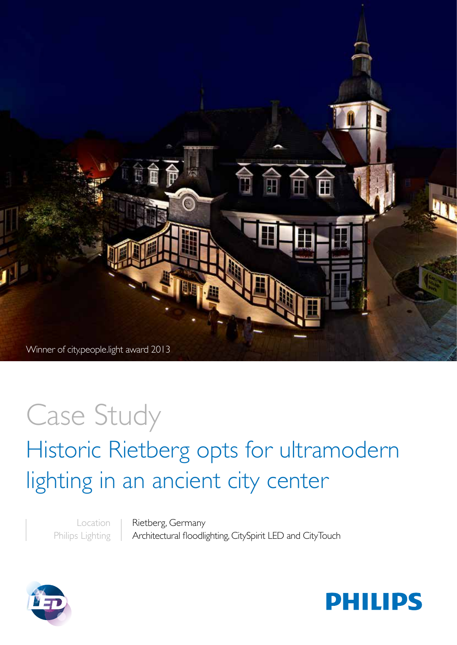

# Case Study Historic Rietberg opts for ultramodern lighting in an ancient city center

Location Philips Lighting

Rietberg, Germany Architectural floodlighting, CitySpirit LED and CityTouch



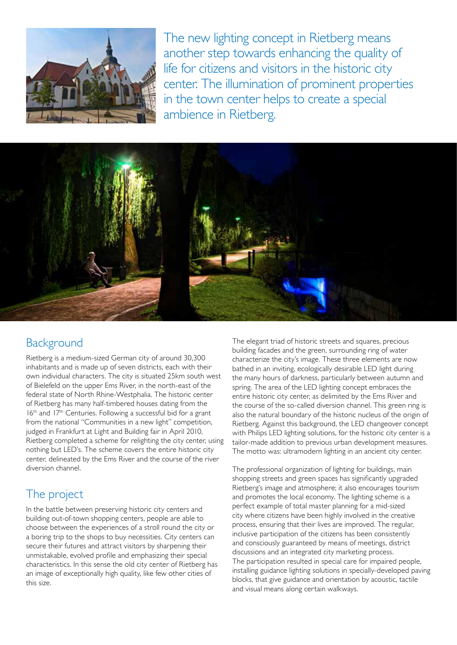

The new lighting concept in Rietberg means another step towards enhancing the quality of life for citizens and visitors in the historic city center. The illumination of prominent properties in the town center helps to create a special ambience in Rietberg.



### **Background**

Rietberg is a medium-sized German city of around 30,300 inhabitants and is made up of seven districts, each with their own individual characters. The city is situated 25km south west of Bielefeld on the upper Ems River, in the north-east of the federal state of North Rhine-Westphalia. The historic center of Rietberg has many half-timbered houses dating from the 16<sup>th</sup> and 17<sup>th</sup> Centuries. Following a successful bid for a grant from the national "Communities in a new light" competition, judged in Frankfurt at Light and Building fair in April 2010, Rietberg completed a scheme for relighting the city center, using nothing but LED's. The scheme covers the entire historic city center, delineated by the Ems River and the course of the river diversion channel.

## The project

In the battle between preserving historic city centers and building out-of-town shopping centers, people are able to choose between the experiences of a stroll round the city or a boring trip to the shops to buy necessities. City centers can secure their futures and attract visitors by sharpening their unmistakable, evolved profile and emphasizing their special characteristics. In this sense the old city center of Rietberg has an image of exceptionally high quality, like few other cities of this size.

The elegant triad of historic streets and squares, precious building facades and the green, surrounding ring of water characterize the city's image. These three elements are now bathed in an inviting, ecologically desirable LED light during the many hours of darkness, particularly between autumn and spring. The area of the LED lighting concept embraces the entire historic city center, as delimited by the Ems River and the course of the so-called diversion channel. This green ring is also the natural boundary of the historic nucleus of the origin of Rietberg. Against this background, the LED changeover concept with Philips LED lighting solutions, for the historic city center is a tailor-made addition to previous urban development measures. The motto was: ultramodern lighting in an ancient city center.

The professional organization of lighting for buildings, main shopping streets and green spaces has significantly upgraded Rietberg's image and atmosphere; it also encourages tourism and promotes the local economy. The lighting scheme is a perfect example of total master planning for a mid-sized city where citizens have been highly involved in the creative process, ensuring that their lives are improved. The regular, inclusive participation of the citizens has been consistently and consciously guaranteed by means of meetings, district discussions and an integrated city marketing process. The participation resulted in special care for impaired people, installing guidance lighting solutions in specially-developed paving blocks, that give guidance and orientation by acoustic, tactile and visual means along certain walkways.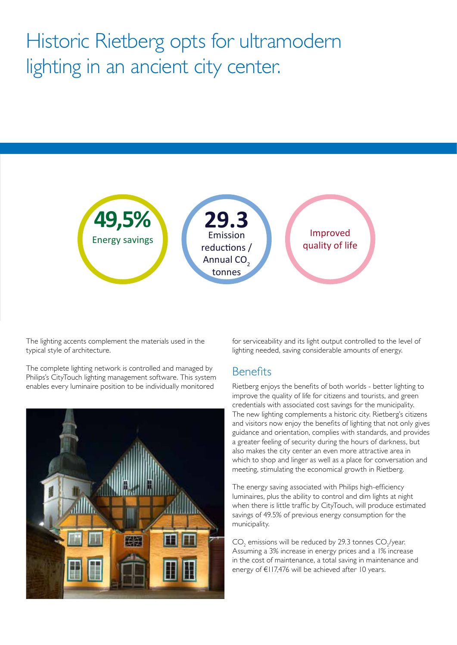# Historic Rietberg opts for ultramodern lighting in an ancient city center.



**The lighting accents complement the materials used in the**  $\mathbf{t}$ typical style of architecture.

> The complete lighting network is controlled and managed by Philips's CityTouch lighting management software. This system enables every luminaire position to be individually monitored

![](_page_2_Picture_4.jpeg)

for serviceability and its light output controlled to the level of lighting needed, saving considerable amounts of energy. **text**  $\mathbf{f}$ 

#### **Benefits**

text text which to shop and linger as well as a place for conversation and  $\frac{1}{2}$ Rietberg enjoys the benefits of both worlds - better lighting to improve the quality of life for citizens and tourists, and green credentials with associated cost savings for the municipality. The new lighting complements a historic city. Rietberg's citizens and visitors now enjoy the benefits of lighting that not only gives guidance and orientation, complies with standards, and provides a greater feeling of security during the hours of darkness, but also makes the city center an even more attractive area in meeting, stimulating the economical growth in Rietberg.

> The energy saving associated with Philips high-efficiency luminaires, plus the ability to control and dim lights at night when there is little traffic by CityTouch, will produce estimated savings of 49.5% of previous energy consumption for the municipality.

 $\text{CO}_2$  emissions will be reduced by 29.3 tonnes  $\text{CO}_2$ /year. Assuming a 3% increase in energy prices and a 1% increase in the cost of maintenance, a total saving in maintenance and energy of €117,476 will be achieved after 10 years.